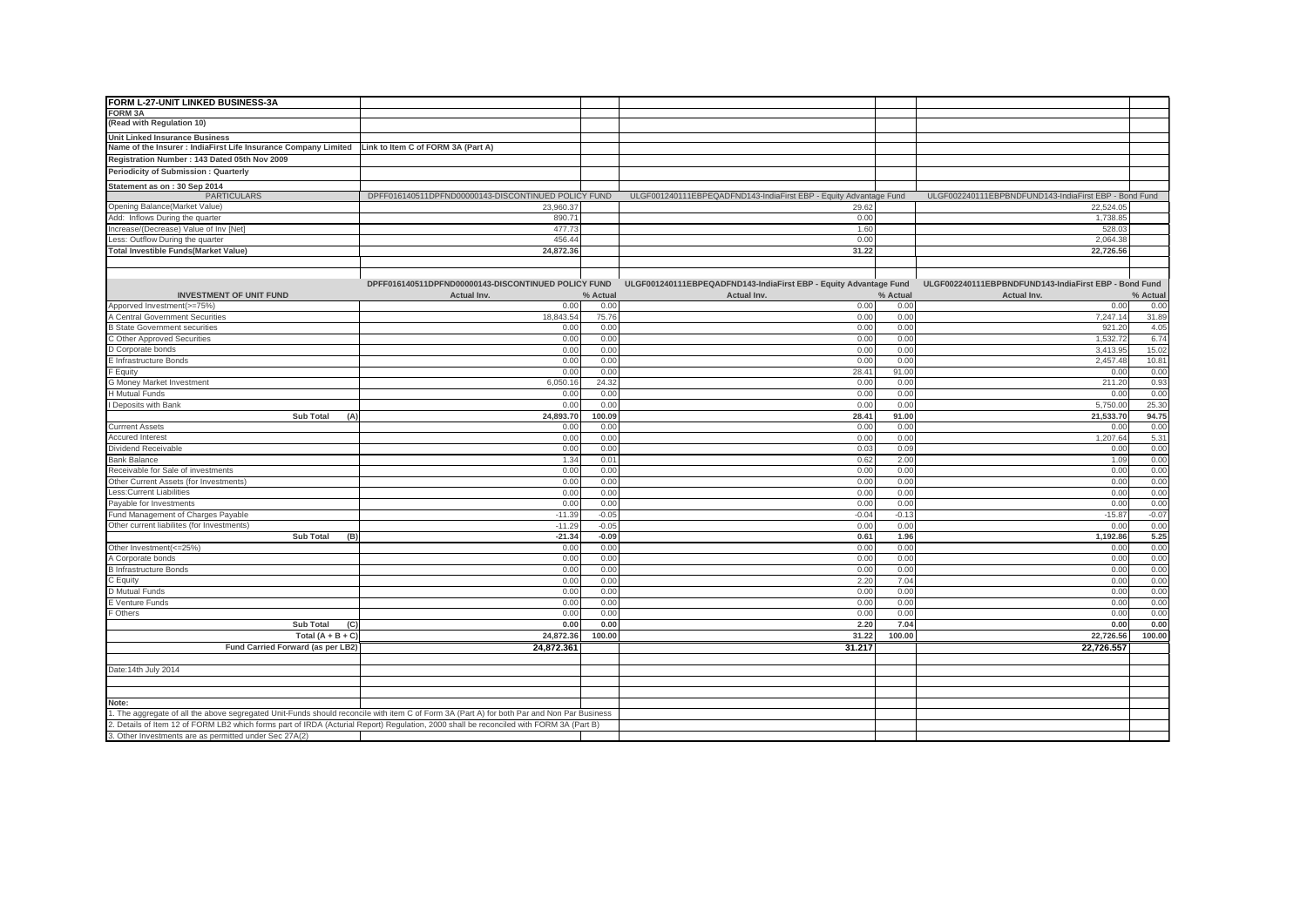| FORM L-27-UNIT LINKED BUSINESS-3A                                                                                                       |                                                     |          |                                                                   |          |                                                       |          |
|-----------------------------------------------------------------------------------------------------------------------------------------|-----------------------------------------------------|----------|-------------------------------------------------------------------|----------|-------------------------------------------------------|----------|
| <b>FORM 3A</b>                                                                                                                          |                                                     |          |                                                                   |          |                                                       |          |
| (Read with Regulation 10)                                                                                                               |                                                     |          |                                                                   |          |                                                       |          |
| <b>Unit Linked Insurance Business</b>                                                                                                   |                                                     |          |                                                                   |          |                                                       |          |
| Name of the Insurer : IndiaFirst Life Insurance Company Limited   Link to Item C of FORM 3A (Part A)                                    |                                                     |          |                                                                   |          |                                                       |          |
| Registration Number: 143 Dated 05th Nov 2009                                                                                            |                                                     |          |                                                                   |          |                                                       |          |
| <b>Periodicity of Submission: Quarterly</b>                                                                                             |                                                     |          |                                                                   |          |                                                       |          |
| Statement as on: 30 Sep 2014                                                                                                            |                                                     |          |                                                                   |          |                                                       |          |
| <b>PARTICULARS</b>                                                                                                                      | DPFF016140511DPFND00000143-DISCONTINUED POLICY FUND |          | ULGF001240111EBPEQADFND143-IndiaFirst EBP - Equity Advantage Fund |          | ULGF002240111EBPBNDFUND143-IndiaFirst EBP - Bond Fund |          |
| Opening Balance(Market Value)                                                                                                           | 23,960.37                                           |          | 29.62                                                             |          | 22,524.05                                             |          |
| Add: Inflows During the quarter                                                                                                         | 890.71                                              |          | 0.00                                                              |          | 1,738.85                                              |          |
| Increase/(Decrease) Value of Inv [Net]                                                                                                  | 477.73                                              |          | 1.60                                                              |          | 528.03                                                |          |
| Less: Outflow During the quarter                                                                                                        | 456.44                                              |          | 0.00                                                              |          | 2,064.38                                              |          |
| <b>Total Investible Funds(Market Value)</b>                                                                                             | 24,872.36                                           |          | 31.22                                                             |          | 22,726.56                                             |          |
|                                                                                                                                         |                                                     |          |                                                                   |          |                                                       |          |
|                                                                                                                                         |                                                     |          |                                                                   |          |                                                       |          |
|                                                                                                                                         | DPFF016140511DPFND00000143-DISCONTINUED POLICY FUND |          | ULGF001240111EBPEQADFND143-IndiaFirst EBP - Equity Advantage Fund |          | ULGF002240111EBPBNDFUND143-IndiaFirst EBP - Bond Fund |          |
| <b>INVESTMENT OF UNIT FUND</b>                                                                                                          | Actual Inv.                                         | % Actual | Actual Inv.                                                       | % Actual | Actual Inv.                                           | % Actual |
| Apporved Investment(>=75%)                                                                                                              | 0.00                                                | 0.00     | 0.00                                                              | 0.00     | 0.00                                                  | 0.00     |
| A Central Government Securities                                                                                                         | 18.843.54                                           | 75.76    | 0.00                                                              | 0.00     | 7,247.14                                              | 31.89    |
| <b>B State Government securities</b>                                                                                                    | 0.00                                                | 0.00     | 0.00                                                              | 0.00     | 921.20                                                | 4.05     |
| C Other Approved Securities                                                                                                             | 0.00                                                | 0.00     | 0.00                                                              | 0.00     | 1,532.72                                              | 6.74     |
| D Corporate bonds                                                                                                                       | 0.00                                                | 0.00     | 0.00                                                              | 0.00     | 3.413.95                                              | 15.02    |
| E Infrastructure Bonds                                                                                                                  | 0.00                                                | 0.00     | 0.00                                                              | 0.00     | 2,457.48                                              | 10.81    |
| F Equity                                                                                                                                | 0.00                                                | 0.00     | 28.41                                                             | 91.00    | 0.00                                                  | 0.00     |
| G Money Market Investment                                                                                                               | 6,050.1                                             | 24.32    | 0.00                                                              | 0.00     | 211.20                                                | 0.93     |
| H Mutual Funds                                                                                                                          | 0.00                                                | 0.00     | 0.00                                                              | 0.00     | 0.00                                                  | 0.00     |
| I Deposits with Bank                                                                                                                    | 0.00                                                | 0.00     | 0.00                                                              | 0.00     | 5,750.00                                              | 25.30    |
| Sub Total<br>(A)                                                                                                                        | 24,893.70                                           | 100.09   | 28.41                                                             | 91.00    | 21,533.70                                             | 94.75    |
| <b>Currrent Assets</b>                                                                                                                  | 0.00                                                | 0.00     | 0.00                                                              | 0.00     | 0.00                                                  | 0.00     |
| <b>Accured Interest</b>                                                                                                                 | 0.00                                                | 0.00     | 0.00                                                              | 0.00     | 1,207.64                                              | 5.3'     |
| Dividend Receivable                                                                                                                     | 0.00                                                | 0.00     | 0.03                                                              | 0.09     | 0.00                                                  | 0.00     |
| <b>Bank Balance</b>                                                                                                                     | 1.34                                                | 0.01     | 0.62                                                              | 2.00     | 1.09                                                  | 0.00     |
| Receivable for Sale of investments                                                                                                      | 0.00                                                | 0.00     | 0.00                                                              | 0.00     | 0.00                                                  | 0.00     |
| Other Current Assets (for Investments)                                                                                                  | 0.00                                                | 0.00     | 0.00                                                              | 0.00     | 0.00                                                  | 0.00     |
| Less: Current Liabilities                                                                                                               | 0.00                                                | 0.00     | 0.00                                                              | 0.00     | 0.00                                                  | 0.00     |
| Payable for Investments                                                                                                                 | 0.0                                                 | 0.00     | 0.00                                                              | 0.00     | 0.00                                                  | 0.00     |
| Fund Management of Charges Payable                                                                                                      | $-11.3$                                             | $-0.05$  | $-0.04$                                                           | $-0.13$  | $-15.87$                                              | $-0.07$  |
| Other current liabilites (for Investments)                                                                                              | $-11.29$                                            | $-0.05$  | 0.00                                                              | 0.00     | 0.00                                                  | 0.00     |
| <b>Sub Total</b><br>(B)                                                                                                                 | $-21.34$                                            | $-0.09$  | 0.61                                                              | 1.96     | 1,192.86                                              | 5.25     |
| Other Investment(<=25%)                                                                                                                 | 0.0                                                 | 0.00     | 0.00                                                              | 0.00     | 0.00                                                  | 0.00     |
| A Corporate bonds                                                                                                                       | 0.00                                                | 0.00     | 0.00                                                              | 0.00     | 0.00                                                  | 0.00     |
| <b>B</b> Infrastructure Bonds                                                                                                           | 0.00                                                | 0.00     | 0.00                                                              | 0.00     | 0.00                                                  | 0.00     |
| C Equity                                                                                                                                | 0.00                                                | 0.00     | 2.20                                                              | 7.04     | 0.00                                                  | 0.00     |
| D Mutual Funds                                                                                                                          | 0.00                                                | 0.00     | 0.00                                                              | 0.00     | 0.00                                                  | 0.00     |
| E Venture Funds                                                                                                                         | 0.00                                                | 0.00     | 0.00                                                              | 0.00     | 0.00                                                  | 0.00     |
| F Others                                                                                                                                | 0.00                                                | 0.00     | 0.00                                                              | 0.00     | 0.00                                                  | 0.00     |
| Sub Total<br>(C)                                                                                                                        | 0.00                                                | 0.00     | 2.20                                                              | 7.04     | 0.00                                                  | 0.00     |
| Total $(A + B + C)$                                                                                                                     | 24,872.36                                           | 100.00   | 31.22                                                             | 100.00   | 22,726.56                                             | 100.00   |
| Fund Carried Forward (as per LB2)                                                                                                       | 24,872.361                                          |          | 31.217                                                            |          | 22,726.557                                            |          |
|                                                                                                                                         |                                                     |          |                                                                   |          |                                                       |          |
|                                                                                                                                         |                                                     |          |                                                                   |          |                                                       |          |
| Date: 14th July 2014                                                                                                                    |                                                     |          |                                                                   |          |                                                       |          |
|                                                                                                                                         |                                                     |          |                                                                   |          |                                                       |          |
|                                                                                                                                         |                                                     |          |                                                                   |          |                                                       |          |
| Note:                                                                                                                                   |                                                     |          |                                                                   |          |                                                       |          |
| The aggregate of all the above segregated Unit-Funds should reconcile with item C of Form 3A (Part A) for both Par and Non Par Business |                                                     |          |                                                                   |          |                                                       |          |
| 2. Details of Item 12 of FORM LB2 which forms part of IRDA (Acturial Report) Regulation, 2000 shall be reconciled with FORM 3A (Part B) |                                                     |          |                                                                   |          |                                                       |          |
| 3. Other Investments are as permitted under Sec 27A(2)                                                                                  |                                                     |          |                                                                   |          |                                                       |          |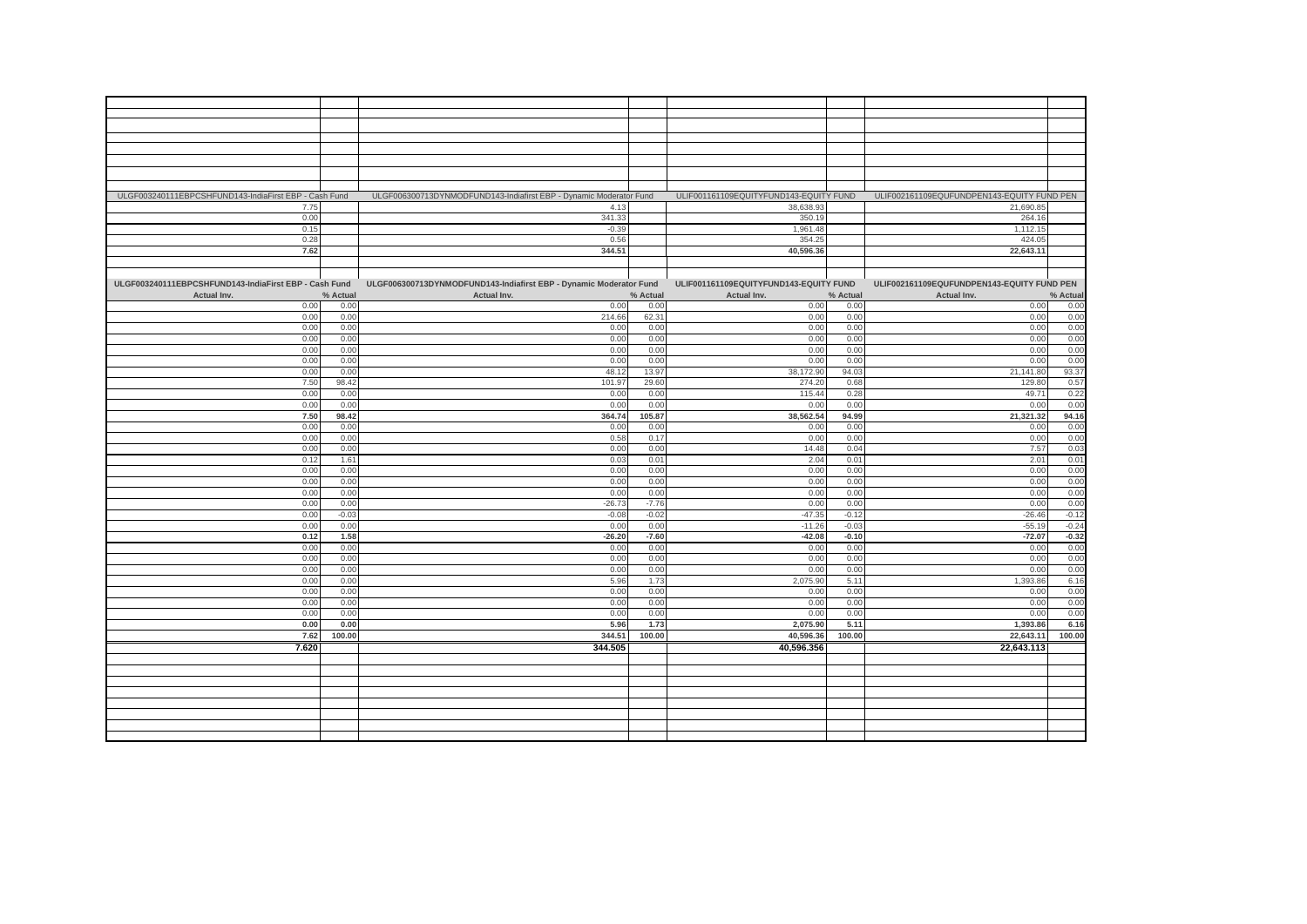| ULGF003240111EBPCSHFUND143-IndiaFirst EBP - Cash Fund |          | ULGF006300713DYNMODFUND143-Indiafirst EBP - Dynamic Moderator Fund |          | ULIF001161109EQUITYFUND143-EQUITY FUND |          | ULIF002161109EQUFUNDPEN143-EQUITY FUND PEN |                                                                                                              |
|-------------------------------------------------------|----------|--------------------------------------------------------------------|----------|----------------------------------------|----------|--------------------------------------------|--------------------------------------------------------------------------------------------------------------|
| 7.75                                                  |          | 4.13                                                               |          | 38,638.93                              |          | 21,690.85                                  |                                                                                                              |
| 0.00                                                  |          | 341.33                                                             |          | 350.19                                 |          | 264.16                                     |                                                                                                              |
| 0.15                                                  |          | $-0.39$                                                            |          | 1,961.48                               |          | 1,112.15                                   |                                                                                                              |
| 0.28                                                  |          | 0.56                                                               |          | 354.25                                 |          | 424.05                                     |                                                                                                              |
| 7.62                                                  |          | 344.51                                                             |          | 40,596.36                              |          | 22,643.11                                  |                                                                                                              |
|                                                       |          |                                                                    |          |                                        |          |                                            |                                                                                                              |
|                                                       |          |                                                                    |          |                                        |          |                                            |                                                                                                              |
| ULGF003240111EBPCSHFUND143-IndiaFirst EBP - Cash Fund |          | ULGF006300713DYNMODFUND143-Indiafirst EBP - Dynamic Moderator Fund |          | ULIF001161109EQUITYFUND143-EQUITY FUND |          | ULIF002161109EQUFUNDPEN143-EQUITY FUND PEN |                                                                                                              |
| Actual Inv.                                           | % Actual | Actual Inv.                                                        | % Actual | Actual Inv.                            | % Actual | Actual Inv.                                | % Actual                                                                                                     |
|                                                       | 0.00     |                                                                    | 0.00     |                                        | 0.00     |                                            |                                                                                                              |
| 0.00                                                  |          | 0.00                                                               |          | 0.00                                   |          | 0.00                                       | 0.00                                                                                                         |
| 0.00                                                  | 0.00     | 214.66                                                             | 62.31    | 0.00                                   | 0.00     | 0.00                                       | 0.00                                                                                                         |
| 0.00                                                  | 0.00     | 0.00                                                               | 0.00     | 0.00                                   | 0.00     | 0.00                                       | $\begin{array}{r}\n 0.00 \\ \hline\n 0.00 \\ \hline\n 0.00 \\ \hline\n 0.00 \\ \hline\n 93.37\n \end{array}$ |
| 0.00                                                  | 0.00     | 0.00                                                               | 0.00     | 0.00                                   | 0.00     | 0.00                                       |                                                                                                              |
| 0.00                                                  | 0.00     | 0.00                                                               | 0.00     | 0.00                                   | 0.00     | 0.00                                       |                                                                                                              |
| 0.00                                                  | 0.00     | 0.00                                                               | 0.00     | 0.00                                   | 0.00     | 0.00                                       |                                                                                                              |
| 0.00                                                  | 0.00     | 48.12                                                              | 13.97    | 38,172.90                              | 94.03    | 21,141.80                                  |                                                                                                              |
| 7.50                                                  | 98.42    | 101.97                                                             | 29.60    | 274.20                                 | 0.68     | 129.80                                     | 0.57                                                                                                         |
| 0.00                                                  | 0.00     | 0.00                                                               | 0.00     | 115.44                                 | 0.28     | 49.71                                      | 0.22                                                                                                         |
| 0.00                                                  | 0.00     | 0.00                                                               | 0.00     | 0.00                                   | 0.00     | 0.00                                       | 0.00                                                                                                         |
| 7.50                                                  | 98.42    | 364.74                                                             | 105.87   | 38,562.54                              | 94.99    | 21,321.32                                  | 94.16                                                                                                        |
| 0.00                                                  | 0.00     | 0.00                                                               | 0.00     | 0.00                                   | 0.00     | 0.00                                       | 0.00                                                                                                         |
| 0.00                                                  | 0.00     | 0.58                                                               | 0.17     | 0.00                                   | 0.00     | 0.00                                       |                                                                                                              |
| 0.00                                                  | 0.00     | 0.00                                                               | 0.00     | 14.48                                  | 0.04     | 7.57                                       | $0.00$<br>$0.03$                                                                                             |
| 0.12                                                  | 1.61     | 0.03                                                               | 0.01     |                                        | 0.01     | 2.01                                       | 0.01                                                                                                         |
|                                                       |          |                                                                    |          | 2.04                                   |          |                                            |                                                                                                              |
| 0.00                                                  | 0.00     | 0.00                                                               | 0.00     | 0.00                                   | 0.00     | 0.00                                       | 0.00                                                                                                         |
| 0.00                                                  | 0.00     | 0.00                                                               | 0.00     | 0.00                                   | 0.00     | 0.00                                       | $\frac{0.00}{0.00}$                                                                                          |
| 0.00                                                  | 0.00     | 0.00                                                               | 0.00     | 0.00                                   | 0.00     | 0.00                                       |                                                                                                              |
| 0.00                                                  | 0.00     | $-26.73$                                                           | $-7.76$  | 0.00                                   | 0.00     | 0.00                                       |                                                                                                              |
| 0.00                                                  | $-0.03$  | $-0.08$                                                            | $-0.02$  | $-47.35$                               | $-0.12$  | $-26.46$                                   |                                                                                                              |
| 0.00                                                  | 0.00     | 0.00                                                               | 0.00     | $-11.26$                               | $-0.03$  | $-55.19$                                   | $-0.12$<br>$-0.24$<br>$-0.32$<br>0.00                                                                        |
| 0.12                                                  | 1.58     | $-26.20$                                                           | $-7.60$  | $-42.08$                               | $-0.10$  | $-72.07$                                   |                                                                                                              |
| 0.00                                                  | 0.00     | 0.00                                                               | 0.00     | 0.00                                   | 0.00     | 0.00                                       |                                                                                                              |
| 0.00                                                  | 0.00     | 0.00                                                               | 0.00     | 0.00                                   | 0.00     | 0.00                                       | 0.00                                                                                                         |
| 0.00                                                  | 0.00     | 0.00                                                               | 0.00     | 0.00                                   | 0.00     | 0.00                                       | 0.00                                                                                                         |
| 0.00                                                  | 0.00     | 5.96                                                               | 1.73     | 2,075.90                               | 5.11     | 1,393.86                                   | 6.16                                                                                                         |
| 0.00                                                  | 0.00     | 0.00                                                               | 0.00     | 0.00                                   | 0.00     | 0.00                                       | 0.00                                                                                                         |
| 0.00                                                  | 0.00     | 0.00                                                               | 0.00     | 0.00                                   | 0.00     | 0.00                                       | 0.00                                                                                                         |
|                                                       |          | 0.00                                                               | 0.00     |                                        | 0.00     | 0.00                                       | 0.00                                                                                                         |
| 0.00                                                  | 0.00     |                                                                    |          | 0.00                                   |          |                                            |                                                                                                              |
| 0.00                                                  | 0.00     | 5.96                                                               | 1.73     | 2,075.90                               | 5.11     | 1,393.86                                   | 6.16                                                                                                         |
| 7.62                                                  | 100.00   | 344.51                                                             | 100.00   | 40,596.36                              | 100.00   | 22,643.11                                  | 100.00                                                                                                       |
| 7.620                                                 |          | 344.505                                                            |          | 40,596.356                             |          | 22,643.113                                 |                                                                                                              |
|                                                       |          |                                                                    |          |                                        |          |                                            |                                                                                                              |
|                                                       |          |                                                                    |          |                                        |          |                                            |                                                                                                              |
|                                                       |          |                                                                    |          |                                        |          |                                            |                                                                                                              |
|                                                       |          |                                                                    |          |                                        |          |                                            |                                                                                                              |
|                                                       |          |                                                                    |          |                                        |          |                                            |                                                                                                              |
|                                                       |          |                                                                    |          |                                        |          |                                            |                                                                                                              |
|                                                       |          |                                                                    |          |                                        |          |                                            |                                                                                                              |
|                                                       |          |                                                                    |          |                                        |          |                                            |                                                                                                              |
|                                                       |          |                                                                    |          |                                        |          |                                            |                                                                                                              |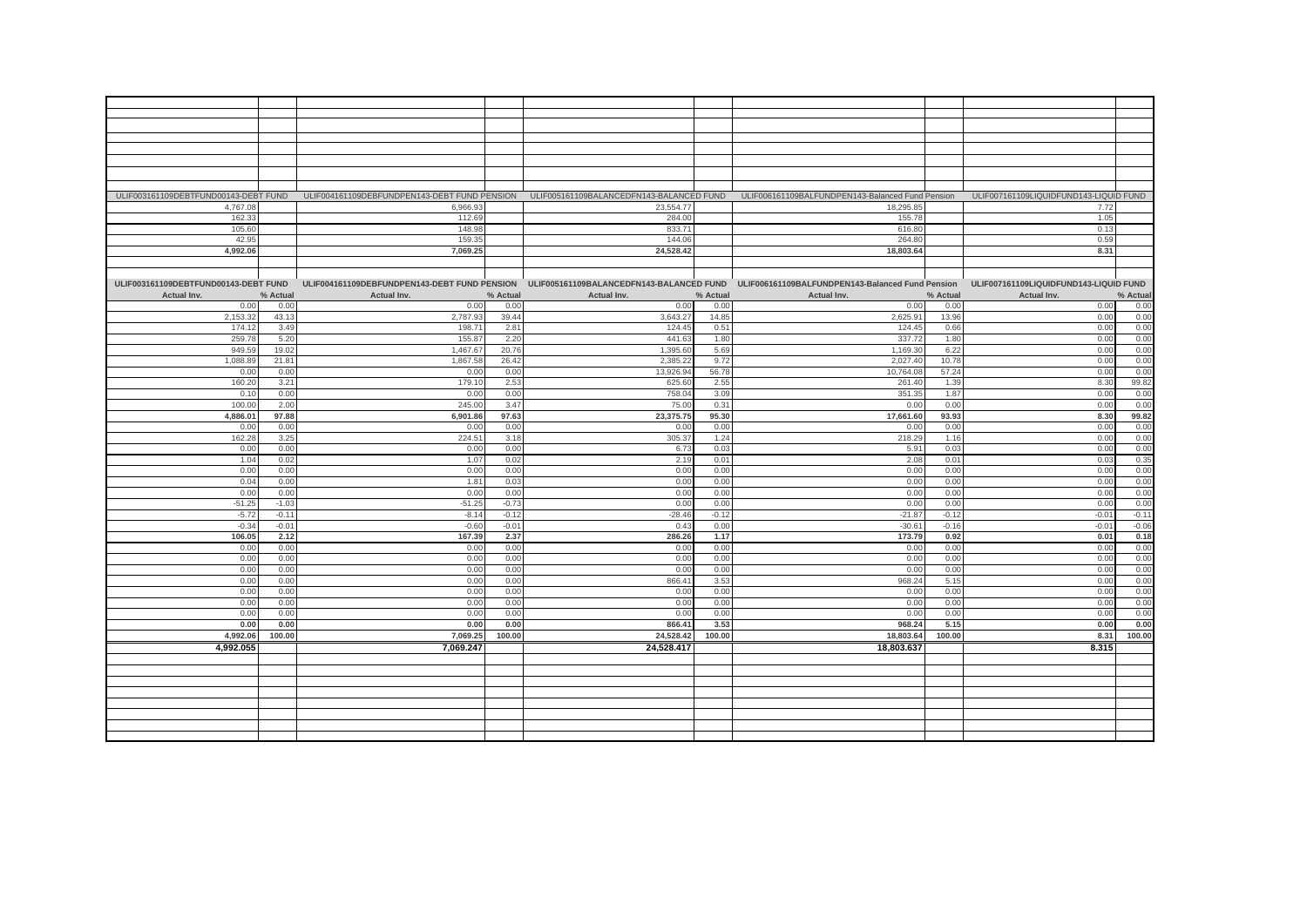|                                      |           |          |             |          |             |          | ULIF003161109DEBTFUND00143-DEBT FUND ULIF004161109DEBFUNDPEN143-DEBT FUND PENSION ULIF005161109BALANCEDFN143-BALANCED FUND ULIF006161109BALFUNDPEN143-Balanced Fund Pension |          | ULIF007161109LIQUIDFUND143-LIQUID FUND |          |
|--------------------------------------|-----------|----------|-------------|----------|-------------|----------|-----------------------------------------------------------------------------------------------------------------------------------------------------------------------------|----------|----------------------------------------|----------|
|                                      | 4,767.08  |          | 6,966.93    |          | 23,554.77   |          | 18,295.85                                                                                                                                                                   |          | 7.72                                   |          |
|                                      | 162.33    |          | 112.69      |          | 284.00      |          | 155.78                                                                                                                                                                      |          | 1.05                                   |          |
|                                      | 105.60    |          | 148.98      |          | 833.71      |          | 616.80                                                                                                                                                                      |          | 0.13                                   |          |
|                                      | 42.95     |          | 159.35      |          | 144.06      |          | 264.80                                                                                                                                                                      |          | 0.59                                   |          |
|                                      | 4.992.06  |          | 7,069.25    |          | 24.528.42   |          | 18,803.64                                                                                                                                                                   |          | 8.31                                   |          |
|                                      |           |          |             |          |             |          |                                                                                                                                                                             |          |                                        |          |
|                                      |           |          |             |          |             |          |                                                                                                                                                                             |          |                                        |          |
| ULIF003161109DEBTFUND00143-DEBT FUND |           |          |             |          |             |          | ULIF004161109DEBFUNDPEN143-DEBT FUND PENSION ULIF005161109BALANCEDFN143-BALANCED FUND ULIF006161109BALFUNDPEN143-Balanced Fund Pension                                      |          | ULIF007161109LIQUIDFUND143-LIQUID FUND |          |
| Actual Inv.                          |           | % Actual | Actual Inv. | % Actual | Actual Inv. | % Actual | Actual Inv.                                                                                                                                                                 | % Actual | Actual Inv.                            | % Actual |
|                                      | 0.00      | 0.00     | 0.00        | 0.00     | 0.00        | 0.00     | 0.00                                                                                                                                                                        | 0.00     | 0.00                                   | 0.00     |
|                                      | 2,153.32  | 43.13    | 2,787.93    | 39.44    | 3,643.27    | 14.85    | 2,625.91                                                                                                                                                                    | 13.96    | 0.00                                   | 0.00     |
|                                      |           |          |             |          |             | 0.51     |                                                                                                                                                                             |          |                                        | 0.00     |
|                                      | 174.12    | 3.49     | 198.7'      | 2.81     | 124.45      |          | 124.45                                                                                                                                                                      | 0.66     | 0.00                                   |          |
|                                      | 259.7     | 5.20     | 155.87      | 2.20     | 441.63      | 1.80     | 337.72                                                                                                                                                                      | 1.80     | 0.00                                   | 0.00     |
|                                      | 949.59    | 19.02    | 1,467.67    | 20.76    | 1,395.6     | 5.69     | 1,169.30                                                                                                                                                                    | 6.22     | 0.00                                   | 0.00     |
|                                      | 1.088.89  | 21.81    | 1,867.58    | 26.42    | 2.385.22    | 9.72     | 2,027.40                                                                                                                                                                    | 10.78    | 0.00                                   | 0.00     |
|                                      | 0.00      | 0.00     | 0.00        | 0.00     | 13.926.9    | 56.78    | 10,764.08                                                                                                                                                                   | 57.24    | 0.00                                   | 0.00     |
|                                      | 160.20    | 3.21     | 179.10      | 2.53     | 625.60      | 2.55     | 261.40                                                                                                                                                                      | 1.39     | 8.30                                   | 99.82    |
|                                      | 0.10      | 0.00     | 0.00        | 0.00     | 758.0       | 3.09     | 351.35                                                                                                                                                                      | 1.87     | 0.00                                   | 0.00     |
|                                      | 100.00    | 2.00     | 245.00      | 3.47     | 75.00       | 0.31     | 0.00                                                                                                                                                                        | 0.00     | 0.00                                   | 0.00     |
|                                      | 4.886.01  | 97.88    | 6,901.86    | 97.63    | 23,375.75   | 95.30    | 17,661.60                                                                                                                                                                   | 93.93    | 8.30                                   | 99.82    |
|                                      | 0.00      | 0.00     | 0.00        | 0.00     | 0.00        | 0.00     | 0.00                                                                                                                                                                        | 0.00     | 0.00                                   | 0.00     |
|                                      | 162.28    | 3.25     | 224.5'      | 3.18     | 305.37      | 1.24     | 218.29                                                                                                                                                                      | 1.16     | 0.00                                   | 0.00     |
|                                      | 0.00      | 0.00     | 0.00        | 0.00     | 6.73        | 0.03     | 5.91                                                                                                                                                                        | 0.03     | 0.00                                   | 0.00     |
|                                      | 1.04      | 0.02     | 1.07        | 0.02     | 2.19        | 0.01     | 2.08                                                                                                                                                                        | 0.01     | 0.03                                   | 0.35     |
|                                      | 0.00      | 0.00     | 0.00        | 0.00     | 0.00        | 0.00     | 0.00                                                                                                                                                                        | 0.00     | 0.00                                   | 0.00     |
|                                      | 0.04      | 0.00     | 1.81        | 0.03     | 0.00        | 0.00     | 0.00                                                                                                                                                                        | 0.00     | 0.00                                   | 0.00     |
|                                      | 0.00      | 0.00     | 0.00        | 0.00     | 0.00        | 0.00     | 0.00                                                                                                                                                                        | 0.00     | 0.00                                   | 0.00     |
|                                      | $-51.25$  | $-1.03$  | $-51.25$    | $-0.73$  | 0.00        | 0.00     | 0.00                                                                                                                                                                        | 0.00     | 0.00                                   | 0.00     |
|                                      | $-5.72$   | $-0.11$  | $-8.14$     | $-0.12$  | $-28.46$    | $-0.12$  | $-21.87$                                                                                                                                                                    | $-0.12$  | $-0.01$                                | $-0.12$  |
|                                      | $-0.34$   | $-0.01$  | $-0.60$     | $-0.01$  | 0.43        | 0.00     | $-30.61$                                                                                                                                                                    | $-0.16$  | $-0.01$                                | $-0.06$  |
|                                      | 106.05    | 2.12     | 167.39      | 2.37     | 286.26      | 1.17     | 173.79                                                                                                                                                                      | 0.92     | 0.01                                   | 0.18     |
|                                      |           | 0.00     |             |          |             |          |                                                                                                                                                                             |          |                                        | 0.00     |
|                                      | 0.00      |          | 0.00        | 0.00     | 0.00        | 0.00     | 0.00                                                                                                                                                                        | 0.00     | 0.00                                   | 0.00     |
|                                      | 0.00      | 0.00     | 0.00        | 0.00     | 0.00        | 0.00     | 0.00                                                                                                                                                                        | 0.00     | 0.00                                   |          |
|                                      | 0.00      | 0.00     | 0.00        | 0.00     | 0.00        | 0.00     | 0.00                                                                                                                                                                        | 0.00     | 0.00                                   | 0.00     |
|                                      | 0.00      | 0.00     | 0.00        | 0.00     | 866.4       | 3.53     | 968.24                                                                                                                                                                      | 5.15     | 0.00                                   | 0.00     |
|                                      | 0.00      | 0.00     | 0.00        | 0.00     | 0.00        | 0.00     | 0.00                                                                                                                                                                        | 0.00     | 0.00                                   | 0.00     |
|                                      | 0.00      | 0.00     | 0.00        | 0.00     | 0.00        | 0.00     | 0.00                                                                                                                                                                        | 0.00     | 0.00                                   | 0.00     |
|                                      | 0.00      | 0.00     | 0.00        | 0.00     | 0.00        | 0.00     | 0.00                                                                                                                                                                        | 0.00     | 0.00                                   | 0.00     |
|                                      | 0.00      | 0.00     | 0.00        | 0.00     | 866.41      | 3.53     | 968.24                                                                                                                                                                      | 5.15     | 0.00                                   | 0.00     |
|                                      | 4,992.06  | 100.00   | 7,069.25    | 100.00   | 24,528.42   | 100.00   | 18,803.64                                                                                                                                                                   | 100.00   | 8.31                                   | 100.00   |
|                                      | 4,992.055 |          | 7,069.247   |          | 24,528.417  |          | 18,803.637                                                                                                                                                                  |          | 8.315                                  |          |
|                                      |           |          |             |          |             |          |                                                                                                                                                                             |          |                                        |          |
|                                      |           |          |             |          |             |          |                                                                                                                                                                             |          |                                        |          |
|                                      |           |          |             |          |             |          |                                                                                                                                                                             |          |                                        |          |
|                                      |           |          |             |          |             |          |                                                                                                                                                                             |          |                                        |          |
|                                      |           |          |             |          |             |          |                                                                                                                                                                             |          |                                        |          |
|                                      |           |          |             |          |             |          |                                                                                                                                                                             |          |                                        |          |
|                                      |           |          |             |          |             |          |                                                                                                                                                                             |          |                                        |          |
|                                      |           |          |             |          |             |          |                                                                                                                                                                             |          |                                        |          |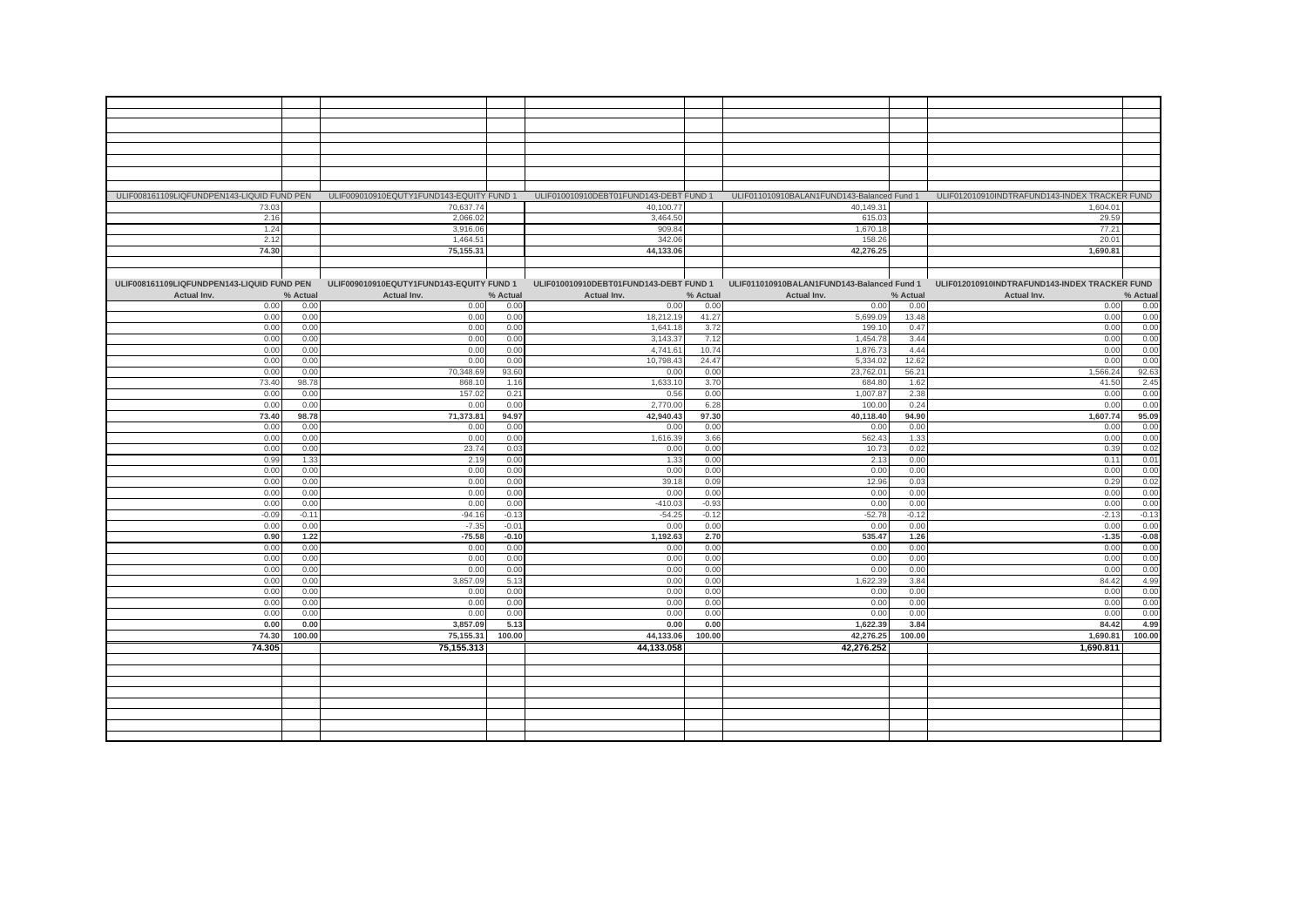| ULIF008161109LIQFUNDPEN143-LIQUID FUND PEN ULIF009010910EQUTY1FUND143-EQUITY FUND 1 ULIF010010910DEBT01FUND143-DEBT FUND 1 |          |                                          |          |                                        |          | ULIF011010910BALAN1FUND143-Balanced Fund 1 |          | ULIF012010910INDTRAFUND143-INDEX TRACKER FUND |          |
|----------------------------------------------------------------------------------------------------------------------------|----------|------------------------------------------|----------|----------------------------------------|----------|--------------------------------------------|----------|-----------------------------------------------|----------|
| 73.03                                                                                                                      |          | 70,637.74                                |          | 40,100.77                              |          | 40,149.31                                  |          | 1,604.01                                      |          |
| 2.16                                                                                                                       |          | 2,066.02                                 |          | 3,464.50                               |          | 615.03                                     |          | 29.59                                         |          |
| 1.24                                                                                                                       |          | 3,916.06                                 |          | 909.84                                 |          | 1,670.18                                   |          | 77.21                                         |          |
|                                                                                                                            |          |                                          |          |                                        |          |                                            |          |                                               |          |
| 2.12                                                                                                                       |          | 1,464.51                                 |          | 342.06                                 |          | 158.26                                     |          | 20.01                                         |          |
| 74.30                                                                                                                      |          | 75,155.31                                |          | 44,133.06                              |          | 42,276.25                                  |          | 1,690.81                                      |          |
|                                                                                                                            |          |                                          |          |                                        |          |                                            |          |                                               |          |
|                                                                                                                            |          |                                          |          |                                        |          |                                            |          |                                               |          |
| ULIF008161109LIQFUNDPEN143-LIQUID FUND PEN                                                                                 |          | ULIF009010910EQUTY1FUND143-EQUITY FUND 1 |          | ULIF010010910DEBT01FUND143-DEBT FUND 1 |          | ULIF011010910BALAN1FUND143-Balanced Fund 1 |          | ULIF012010910INDTRAFUND143-INDEX TRACKER FUND |          |
| Actual Inv.                                                                                                                | % Actual | Actual Inv.                              | % Actual | Actual Inv.                            | % Actual | Actual Inv.                                | % Actual | Actual Inv.                                   | % Actual |
| 0.00                                                                                                                       | 0.00     | 0.00                                     | 0.00     | 0.00                                   | 0.00     | 0.00                                       | 0.00     | 0.00                                          | 0.00     |
|                                                                                                                            |          |                                          |          |                                        |          |                                            |          |                                               |          |
| 0.00                                                                                                                       | 0.00     | 0.00                                     | 0.00     | 18,212.19                              | 41.27    | 5,699.09                                   | 13.48    | 0.00                                          | 0.00     |
| 0.00                                                                                                                       | 0.00     | 0.00                                     | 0.00     | 1,641.18                               | 3.72     | 199.10                                     | 0.47     | 0.00                                          | 0.00     |
| 0.00                                                                                                                       | 0.00     | 0.00                                     | 0.00     | 3,143.37                               | 7.12     | 1,454.78                                   | 3.44     | 0.00                                          | 0.00     |
| 0.00                                                                                                                       | 0.00     | 0.00                                     | 0.00     | 4,741.61                               | 10.74    | 1,876.73                                   | 4.44     | 0.00                                          | 0.00     |
| 0.00                                                                                                                       | 0.00     | 0.00                                     | 0.00     | 10,798.43                              | 24.47    | 5,334.0                                    | 12.62    | 0.00                                          | 0.00     |
| 0.00                                                                                                                       | 0.00     | 70,348.69                                | 93.60    | 0.00                                   | 0.00     | 23,762.0                                   | 56.2'    | ,566.24                                       | 92.63    |
| 73.40                                                                                                                      | 98.78    | 868.1                                    | 1.16     | 1,633.10                               | 3.70     | 684.8                                      | 1.62     | 41.50                                         | 2.45     |
|                                                                                                                            |          |                                          |          |                                        |          |                                            |          |                                               |          |
| 0.00                                                                                                                       | 0.00     | 157.02                                   | 0.21     | 0.56                                   | 0.00     | 1,007.8                                    | 2.38     | 0.00                                          | 0.00     |
| 0.00                                                                                                                       | 0.00     | 0.00                                     | 0.00     | 2,770.00                               | 6.28     | 100.0                                      | 0.24     | 0.00                                          | 0.00     |
| 73.40                                                                                                                      | 98.78    | 71,373.81                                | 94.97    | 42,940.43                              | 97.30    | 40,118.40                                  | 94.90    | 1,607.74                                      | 95.09    |
| 0.00                                                                                                                       | 0.00     | 0.00                                     | 0.00     | 0.00                                   | 0.00     | 0.00                                       | 0.00     | 0.00                                          | 0.00     |
| 0.00                                                                                                                       | 0.00     | 0.00                                     | 0.00     | 1,616.39                               | 3.66     | 562.43                                     | 1.33     | 0.00                                          | 0.00     |
| 0.00                                                                                                                       |          | 23.74                                    | 0.03     | 0.00                                   | 0.00     |                                            | 0.02     | 0.39                                          | 0.02     |
|                                                                                                                            | 0.00     |                                          |          |                                        |          | 10.73                                      |          |                                               |          |
| 0.99                                                                                                                       | 1.33     | 2.19                                     | 0.00     | 1.33                                   | 0.00     | 2.13                                       | 0.00     | 0.11                                          | 0.01     |
| 0.00                                                                                                                       | 0.00     | 0.00                                     | 0.00     | 0.00                                   | 0.00     | 0.00                                       | 0.00     | 0.00                                          | 0.00     |
| 0.00                                                                                                                       | 0.00     | 0.00                                     | 0.00     | 39.18                                  | 0.09     | 12.96                                      | 0.03     | 0.29                                          | 0.02     |
| 0.00                                                                                                                       | 0.00     | 0.00                                     | 0.00     | 0.00                                   | 0.00     | 0.00                                       | 0.00     | 0.00                                          | 0.00     |
| 0.00                                                                                                                       | 0.00     | 0.00                                     | 0.00     | $-410.03$                              | $-0.93$  | 0.00                                       | 0.00     | 0.00                                          | 0.00     |
| $-0.09$                                                                                                                    | $-0.11$  | $-94.16$                                 | $-0.13$  | $-54.25$                               | $-0.12$  | $-52.78$                                   | $-0.12$  | $-2.13$                                       | $-0.13$  |
| 0.00                                                                                                                       | 0.00     | $-7.35$                                  | $-0.01$  | 0.00                                   | 0.00     | 0.00                                       | 0.00     | 0.00                                          | 0.00     |
|                                                                                                                            |          |                                          |          |                                        |          |                                            |          |                                               |          |
| 0.90                                                                                                                       | 1.22     | $-75.58$                                 | $-0.10$  | 1,192.63                               | 2.70     | 535.47                                     | 1.26     | $-1.35$                                       | $-0.08$  |
| 0.00                                                                                                                       | 0.00     | 0.00                                     | 0.00     | 0.00                                   | 0.00     | 0.00                                       | 0.00     | 0.00                                          | 0.00     |
| 0.00                                                                                                                       | 0.00     | 0.00                                     | 0.00     | 0.00                                   | 0.00     | 0.00                                       | 0.00     | 0.00                                          | 0.00     |
| 0.00                                                                                                                       | 0.00     | 0.00                                     | 0.00     | 0.00                                   | 0.00     | 0.00                                       | 0.00     | 0.00                                          | 0.00     |
| 0.00                                                                                                                       | 0.00     | 3,857.09                                 | 5.13     | 0.00                                   | 0.00     | 1,622.39                                   | 3.84     | 84.42                                         | 4.99     |
| 0.00                                                                                                                       | 0.00     | 0.00                                     | 0.00     | 0.00                                   | 0.00     | 0.00                                       | 0.00     | 0.00                                          | 0.00     |
| 0.00                                                                                                                       | 0.00     | 0.00                                     | 0.00     | 0.00                                   | 0.00     | 0.00                                       | 0.00     | 0.00                                          | 0.00     |
|                                                                                                                            |          |                                          |          |                                        |          |                                            |          |                                               | 0.00     |
| 0.00                                                                                                                       | 0.00     | 0.00                                     | 0.00     | 0.00                                   | 0.00     | 0.00                                       | 0.00     | 0.00                                          |          |
| 0.00                                                                                                                       | 0.00     | 3,857.09                                 | 5.13     | 0.00                                   | 0.00     | 1,622.39                                   | 3.84     | 84.42                                         | 4.99     |
| 74.30                                                                                                                      | 100.00   | 75,155.31                                | 100.00   | 44,133.06                              | 100.00   | 42,276.25                                  | 100.00   | 1,690.81                                      | 100.00   |
| 74.305                                                                                                                     |          | 75,155.313                               |          | 44,133.058                             |          | 42,276.252                                 |          | 1,690.811                                     |          |
|                                                                                                                            |          |                                          |          |                                        |          |                                            |          |                                               |          |
|                                                                                                                            |          |                                          |          |                                        |          |                                            |          |                                               |          |
|                                                                                                                            |          |                                          |          |                                        |          |                                            |          |                                               |          |
|                                                                                                                            |          |                                          |          |                                        |          |                                            |          |                                               |          |
|                                                                                                                            |          |                                          |          |                                        |          |                                            |          |                                               |          |
|                                                                                                                            |          |                                          |          |                                        |          |                                            |          |                                               |          |
|                                                                                                                            |          |                                          |          |                                        |          |                                            |          |                                               |          |
|                                                                                                                            |          |                                          |          |                                        |          |                                            |          |                                               |          |
|                                                                                                                            |          |                                          |          |                                        |          |                                            |          |                                               |          |
|                                                                                                                            |          |                                          |          |                                        |          |                                            |          |                                               |          |